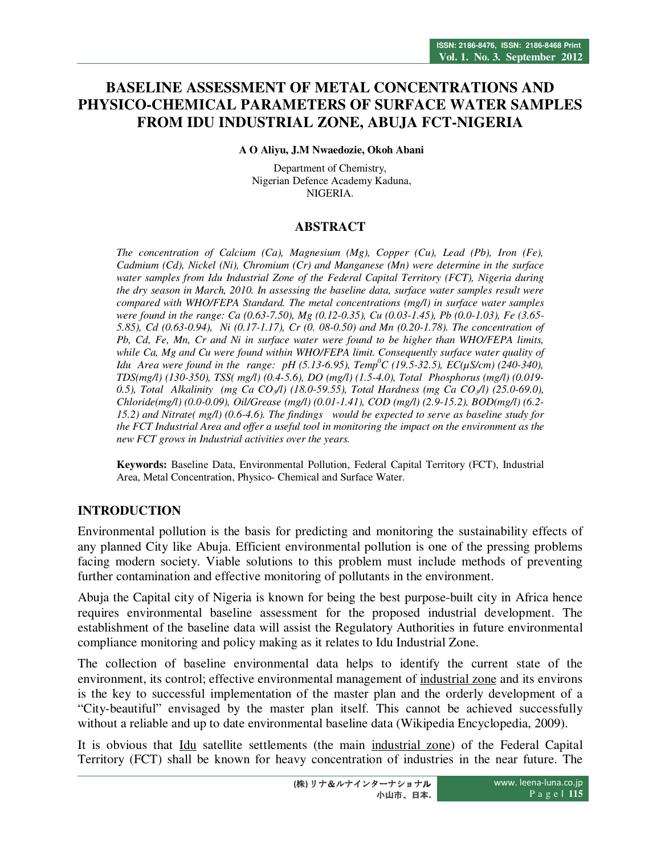# **BASELINE ASSESSMENT OF METAL CONCENTRATIONS AND PHYSICO-CHEMICAL PARAMETERS OF SURFACE WATER SAMPLES FROM IDU INDUSTRIAL ZONE, ABUJA FCT-NIGERIA**

 **A O Aliyu, J.M Nwaedozie, Okoh Abani** 

Department of Chemistry, Nigerian Defence Academy Kaduna, NIGERIA.

#### **ABSTRACT**

*The concentration of Calcium (Ca), Magnesium (Mg), Copper (Cu), Lead (Pb), Iron (Fe), Cadmium (Cd), Nickel (Ni), Chromium (Cr) and Manganese (Mn) were determine in the surface water samples from Idu Industrial Zone of the Federal Capital Territory (FCT), Nigeria during the dry season in March, 2010. In assessing the baseline data, surface water samples result were compared with WHO/FEPA Standard. The metal concentrations (mg/l) in surface water samples were found in the range: Ca (0.63-7.50), Mg (0.12-0.35), Cu (0.03-1.45), Pb (0.0-1.03), Fe (3.65- 5.85), Cd (0.63-0.94), Ni (0.17-1.17), Cr (0. 08-0.50) and Mn (0.20-1.78). The concentration of Pb, Cd, Fe, Mn, Cr and Ni in surface water were found to be higher than WHO/FEPA limits, while Ca, Mg and Cu were found within WHO/FEPA limit. Consequently surface water quality of Idu Area were found in the range: pH (5.13-6.95), Temp<sup>0</sup>C (19.5-32.5), EC(µS/cm) (240-340), TDS(mg/l) (130-350), TSS( mg/l) (0.4-5.6), DO (mg/l) (1.5-4.0), Total Phosphorus (mg/l) (0.019- 0.5), Total Alkalinity (mg Ca CO3/l) (18.0-59.55), Total Hardness (mg Ca CO3/l) (25.0-69.0), Chloride(mg/l) (0.0-0.09), Oil/Grease (mg/l) (0.01-1.41), COD (mg/l) (2.9-15.2), BOD(mg/l) (6.2- 15.2) and Nitrate( mg/l) (0.6-4.6). The findings would be expected to serve as baseline study for the FCT Industrial Area and offer a useful tool in monitoring the impact on the environment as the new FCT grows in Industrial activities over the years.* 

**Keywords:** Baseline Data, Environmental Pollution, Federal Capital Territory (FCT), Industrial Area, Metal Concentration, Physico- Chemical and Surface Water.

## **INTRODUCTION**

Environmental pollution is the basis for predicting and monitoring the sustainability effects of any planned City like Abuja. Efficient environmental pollution is one of the pressing problems facing modern society. Viable solutions to this problem must include methods of preventing further contamination and effective monitoring of pollutants in the environment.

Abuja the Capital city of Nigeria is known for being the best purpose-built city in Africa hence requires environmental baseline assessment for the proposed industrial development. The establishment of the baseline data will assist the Regulatory Authorities in future environmental compliance monitoring and policy making as it relates to Idu Industrial Zone.

The collection of baseline environmental data helps to identify the current state of the environment, its control; effective environmental management of industrial zone and its environs is the key to successful implementation of the master plan and the orderly development of a "City-beautiful" envisaged by the master plan itself. This cannot be achieved successfully without a reliable and up to date environmental baseline data (Wikipedia Encyclopedia, 2009).

It is obvious that Idu satellite settlements (the main industrial zone) of the Federal Capital Territory (FCT) shall be known for heavy concentration of industries in the near future. The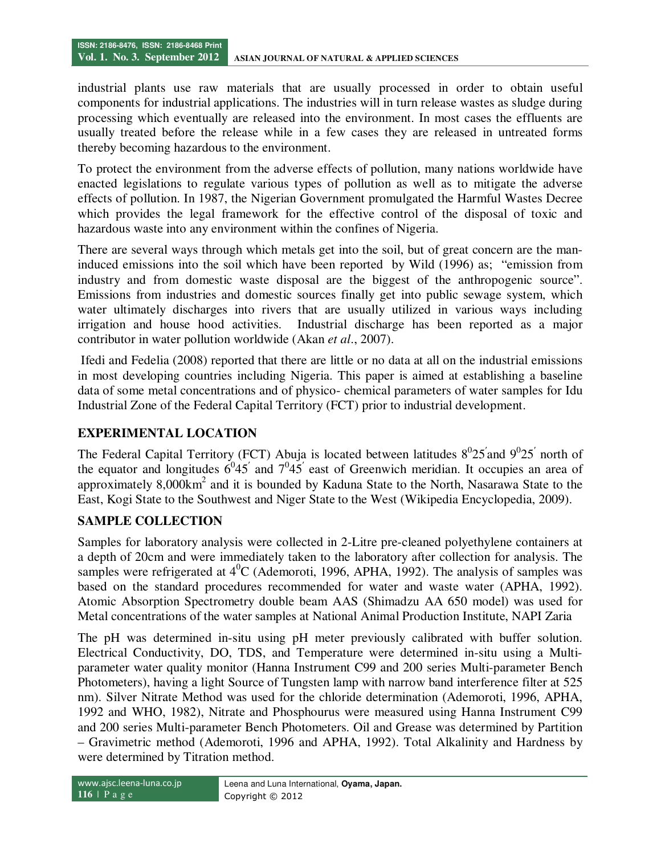industrial plants use raw materials that are usually processed in order to obtain useful components for industrial applications. The industries will in turn release wastes as sludge during processing which eventually are released into the environment. In most cases the effluents are usually treated before the release while in a few cases they are released in untreated forms thereby becoming hazardous to the environment.

To protect the environment from the adverse effects of pollution, many nations worldwide have enacted legislations to regulate various types of pollution as well as to mitigate the adverse effects of pollution. In 1987, the Nigerian Government promulgated the Harmful Wastes Decree which provides the legal framework for the effective control of the disposal of toxic and hazardous waste into any environment within the confines of Nigeria.

There are several ways through which metals get into the soil, but of great concern are the maninduced emissions into the soil which have been reported by Wild (1996) as; "emission from industry and from domestic waste disposal are the biggest of the anthropogenic source". Emissions from industries and domestic sources finally get into public sewage system, which water ultimately discharges into rivers that are usually utilized in various ways including irrigation and house hood activities. Industrial discharge has been reported as a major contributor in water pollution worldwide (Akan *et al*., 2007).

 Ifedi and Fedelia (2008) reported that there are little or no data at all on the industrial emissions in most developing countries including Nigeria. This paper is aimed at establishing a baseline data of some metal concentrations and of physico- chemical parameters of water samples for Idu Industrial Zone of the Federal Capital Territory (FCT) prior to industrial development.

## **EXPERIMENTAL LOCATION**

The Federal Capital Territory (FCT) Abuja is located between latitudes  $8^025'$  and  $9^025'$  north of the equator and longitudes  $6^{0}45'$  and  $7^{0}45'$  east of Greenwich meridian. It occupies an area of approximately  $8,000 \text{km}^2$  and it is bounded by Kaduna State to the North, Nasarawa State to the East, Kogi State to the Southwest and Niger State to the West (Wikipedia Encyclopedia, 2009).

## **SAMPLE COLLECTION**

Samples for laboratory analysis were collected in 2-Litre pre-cleaned polyethylene containers at a depth of 20cm and were immediately taken to the laboratory after collection for analysis. The samples were refrigerated at  $4^0C$  (Ademoroti, 1996, APHA, 1992). The analysis of samples was based on the standard procedures recommended for water and waste water (APHA, 1992). Atomic Absorption Spectrometry double beam AAS (Shimadzu AA 650 model) was used for Metal concentrations of the water samples at National Animal Production Institute, NAPI Zaria

The pH was determined in-situ using pH meter previously calibrated with buffer solution. Electrical Conductivity, DO, TDS, and Temperature were determined in-situ using a Multiparameter water quality monitor (Hanna Instrument C99 and 200 series Multi-parameter Bench Photometers), having a light Source of Tungsten lamp with narrow band interference filter at 525 nm). Silver Nitrate Method was used for the chloride determination (Ademoroti, 1996, APHA, 1992 and WHO, 1982), Nitrate and Phosphourus were measured using Hanna Instrument C99 and 200 series Multi-parameter Bench Photometers. Oil and Grease was determined by Partition – Gravimetric method (Ademoroti, 1996 and APHA, 1992). Total Alkalinity and Hardness by were determined by Titration method.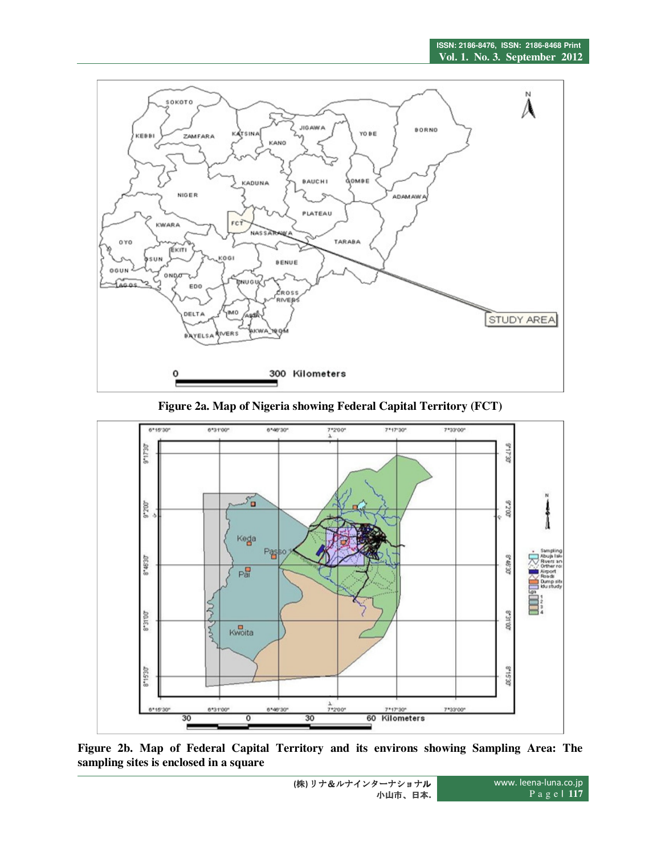

**Figure 2a. Map of Nigeria showing Federal Capital Territory (FCT)** 



**Figure 2b. Map of Federal Capital Territory and its environs showing Sampling Area: The sampling sites is enclosed in a square**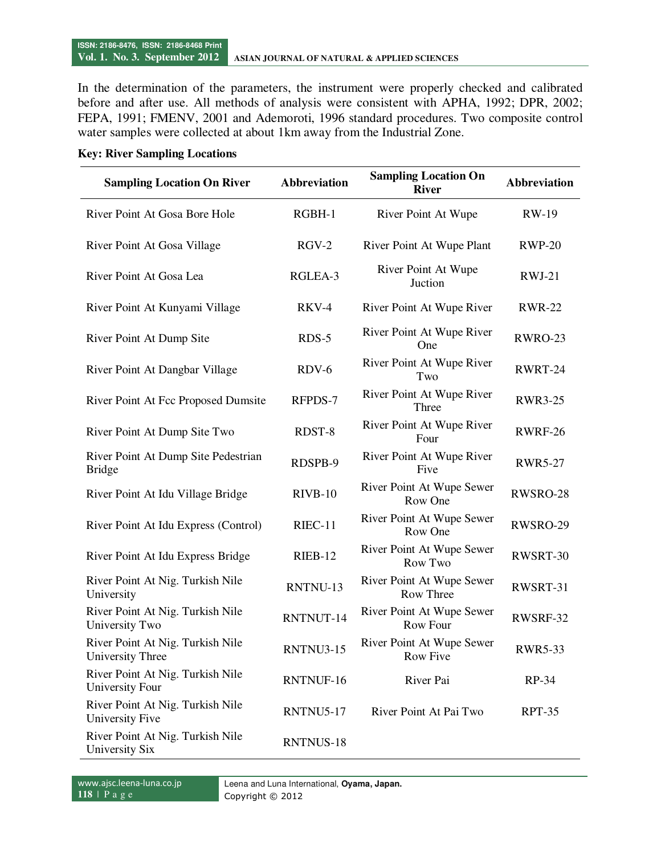In the determination of the parameters, the instrument were properly checked and calibrated before and after use. All methods of analysis were consistent with APHA, 1992; DPR, 2002; FEPA, 1991; FMENV, 2001 and Ademoroti, 1996 standard procedures. Two composite control water samples were collected at about 1km away from the Industrial Zone.

#### **Key: River Sampling Locations**

| <b>Sampling Location On River</b>                           | <b>Abbreviation</b> | <b>Sampling Location On</b><br><b>River</b>  | <b>Abbreviation</b> |
|-------------------------------------------------------------|---------------------|----------------------------------------------|---------------------|
| River Point At Gosa Bore Hole                               | RGBH-1              | River Point At Wupe                          | <b>RW-19</b>        |
| River Point At Gosa Village                                 | $RGV-2$             | River Point At Wupe Plant                    | <b>RWP-20</b>       |
| River Point At Gosa Lea                                     | RGLEA-3             | River Point At Wupe<br>Juction               | $RWJ-21$            |
| River Point At Kunyami Village                              | RKV-4               | River Point At Wupe River                    | <b>RWR-22</b>       |
| River Point At Dump Site                                    | $RDS-5$             | River Point At Wupe River<br>One             | RWRO-23             |
| River Point At Dangbar Village                              | $RDV-6$             | River Point At Wupe River<br>Two             | RWRT-24             |
| River Point At Fcc Proposed Dumsite                         | RFPDS-7             | River Point At Wupe River<br>Three           | <b>RWR3-25</b>      |
| River Point At Dump Site Two                                | RDST-8              | River Point At Wupe River<br>Four            | <b>RWRF-26</b>      |
| River Point At Dump Site Pedestrian<br><b>Bridge</b>        | RDSPB-9             | River Point At Wupe River<br>Five            | <b>RWR5-27</b>      |
| River Point At Idu Village Bridge                           | $RIVB-10$           | River Point At Wupe Sewer<br>Row One         | RWSRO-28            |
| River Point At Idu Express (Control)                        | RIEC-11             | River Point At Wupe Sewer<br>Row One         | RWSRO-29            |
| River Point At Idu Express Bridge                           | RIEB-12             | River Point At Wupe Sewer<br>Row Two         | RWSRT-30            |
| River Point At Nig. Turkish Nile<br>University              | RNTNU-13            | River Point At Wupe Sewer<br>Row Three       | RWSRT-31            |
| River Point At Nig. Turkish Nile<br>University Two          | RNTNUT-14           | River Point At Wupe Sewer<br><b>Row Four</b> | RWSRF-32            |
| River Point At Nig. Turkish Nile<br><b>University Three</b> | RNTNU3-15           | River Point At Wupe Sewer<br><b>Row Five</b> | <b>RWR5-33</b>      |
| River Point At Nig. Turkish Nile<br>University Four         | RNTNUF-16           | River Pai                                    | RP-34               |
| River Point At Nig. Turkish Nile<br>University Five         | RNTNU5-17           | River Point At Pai Two                       | RPT-35              |
| River Point At Nig. Turkish Nile<br>University Six          | RNTNUS-18           |                                              |                     |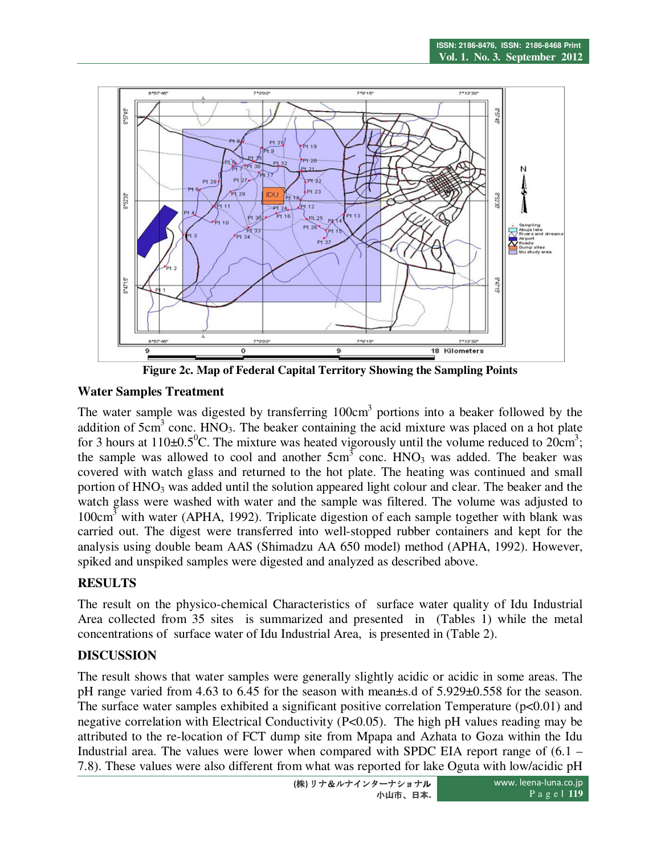

**Figure 2c. Map of Federal Capital Territory Showing the Sampling Points** 

## **Water Samples Treatment**

The water sample was digested by transferring  $100 \text{cm}^3$  portions into a beaker followed by the addition of  $5 \text{cm}^3$  conc. HNO<sub>3</sub>. The beaker containing the acid mixture was placed on a hot plate for 3 hours at 110 $\pm$ 0.5<sup>0</sup>C. The mixture was heated vigorously until the volume reduced to 20cm<sup>3</sup>; the sample was allowed to cool and another  $5cm<sup>3</sup>$  conc.  $HNO<sub>3</sub>$  was added. The beaker was covered with watch glass and returned to the hot plate. The heating was continued and small portion of HNO<sub>3</sub> was added until the solution appeared light colour and clear. The beaker and the watch glass were washed with water and the sample was filtered. The volume was adjusted to  $100 \text{cm}^3$  with water (APHA, 1992). Triplicate digestion of each sample together with blank was carried out. The digest were transferred into well-stopped rubber containers and kept for the analysis using double beam AAS (Shimadzu AA 650 model) method (APHA, 1992). However, spiked and unspiked samples were digested and analyzed as described above.

## **RESULTS**

The result on the physico-chemical Characteristics of surface water quality of Idu Industrial Area collected from 35 sites is summarized and presented in (Tables 1) while the metal concentrations of surface water of Idu Industrial Area, is presented in (Table 2).

## **DISCUSSION**

The result shows that water samples were generally slightly acidic or acidic in some areas. The pH range varied from 4.63 to 6.45 for the season with mean±s.d of 5.929±0.558 for the season. The surface water samples exhibited a significant positive correlation Temperature  $(p<0.01)$  and negative correlation with Electrical Conductivity (P<0.05). The high pH values reading may be attributed to the re-location of FCT dump site from Mpapa and Azhata to Goza within the Idu Industrial area. The values were lower when compared with SPDC EIA report range of (6.1 – 7.8). These values were also different from what was reported for lake Oguta with low/acidic pH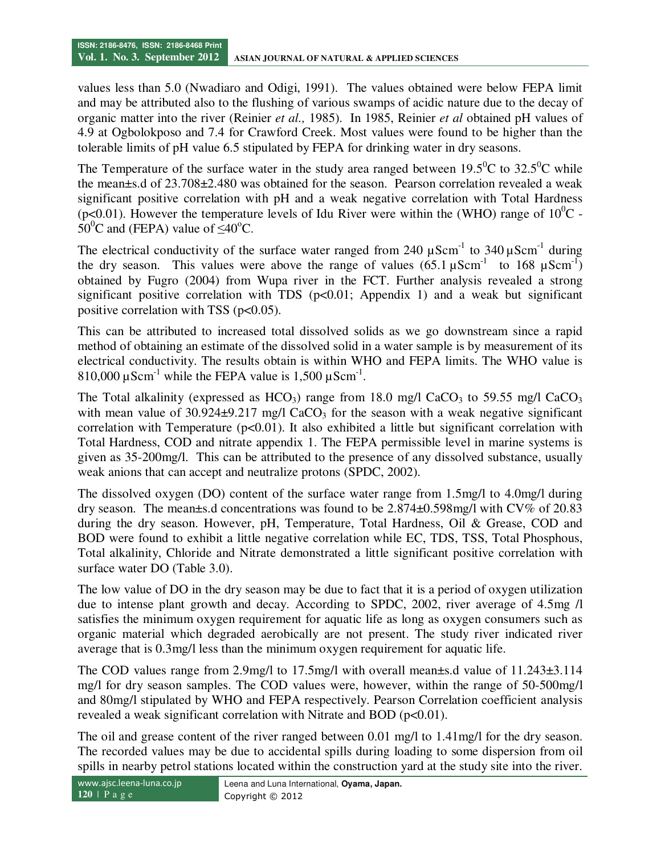values less than 5.0 (Nwadiaro and Odigi, 1991). The values obtained were below FEPA limit and may be attributed also to the flushing of various swamps of acidic nature due to the decay of organic matter into the river (Reinier *et al.,* 1985). In 1985, Reinier *et al* obtained pH values of 4.9 at Ogbolokposo and 7.4 for Crawford Creek. Most values were found to be higher than the tolerable limits of pH value 6.5 stipulated by FEPA for drinking water in dry seasons.

The Temperature of the surface water in the study area ranged between  $19.5^{\circ}$ C to  $32.5^{\circ}$ C while the mean±s.d of 23.708±2.480 was obtained for the season. Pearson correlation revealed a weak significant positive correlation with pH and a weak negative correlation with Total Hardness (p<0.01). However the temperature levels of Idu River were within the (WHO) range of  $10^{0}C$  - $50^{\circ}$ C and (FEPA) value of  $\leq 40^{\circ}$ C.

The electrical conductivity of the surface water ranged from 240  $\mu$ Scm<sup>-1</sup> to 340  $\mu$ Scm<sup>-1</sup> during the dry season. This values were above the range of values  $(65.1 \,\mu\text{Scm}^{-1})$  to  $168 \,\mu\text{Scm}^{-1})$ obtained by Fugro (2004) from Wupa river in the FCT. Further analysis revealed a strong significant positive correlation with TDS ( $p<0.01$ ; Appendix 1) and a weak but significant positive correlation with TSS ( $p<0.05$ ).

This can be attributed to increased total dissolved solids as we go downstream since a rapid method of obtaining an estimate of the dissolved solid in a water sample is by measurement of its electrical conductivity. The results obtain is within WHO and FEPA limits. The WHO value is 810,000  $\mu$ Scm<sup>-1</sup> while the FEPA value is 1,500  $\mu$ Scm<sup>-1</sup>.

The Total alkalinity (expressed as  $HCO<sub>3</sub>$ ) range from 18.0 mg/l CaCO<sub>3</sub> to 59.55 mg/l CaCO<sub>3</sub> with mean value of  $30.924 \pm 9.217$  mg/l CaCO<sub>3</sub> for the season with a weak negative significant correlation with Temperature ( $p<0.01$ ). It also exhibited a little but significant correlation with Total Hardness, COD and nitrate appendix 1. The FEPA permissible level in marine systems is given as 35-200mg/l. This can be attributed to the presence of any dissolved substance, usually weak anions that can accept and neutralize protons (SPDC, 2002).

The dissolved oxygen (DO) content of the surface water range from 1.5mg/l to 4.0mg/l during dry season. The mean±s.d concentrations was found to be 2.874±0.598mg/l with CV% of 20.83 during the dry season. However, pH, Temperature, Total Hardness, Oil & Grease, COD and BOD were found to exhibit a little negative correlation while EC, TDS, TSS, Total Phosphous, Total alkalinity, Chloride and Nitrate demonstrated a little significant positive correlation with surface water DO (Table 3.0).

The low value of DO in the dry season may be due to fact that it is a period of oxygen utilization due to intense plant growth and decay. According to SPDC, 2002, river average of 4.5mg /l satisfies the minimum oxygen requirement for aquatic life as long as oxygen consumers such as organic material which degraded aerobically are not present. The study river indicated river average that is 0.3mg/l less than the minimum oxygen requirement for aquatic life.

The COD values range from 2.9mg/l to 17.5mg/l with overall mean±s.d value of 11.243±3.114 mg/l for dry season samples. The COD values were, however, within the range of 50-500mg/l and 80mg/l stipulated by WHO and FEPA respectively. Pearson Correlation coefficient analysis revealed a weak significant correlation with Nitrate and BOD ( $p<0.01$ ).

The oil and grease content of the river ranged between 0.01 mg/l to 1.41mg/l for the dry season. The recorded values may be due to accidental spills during loading to some dispersion from oil spills in nearby petrol stations located within the construction yard at the study site into the river.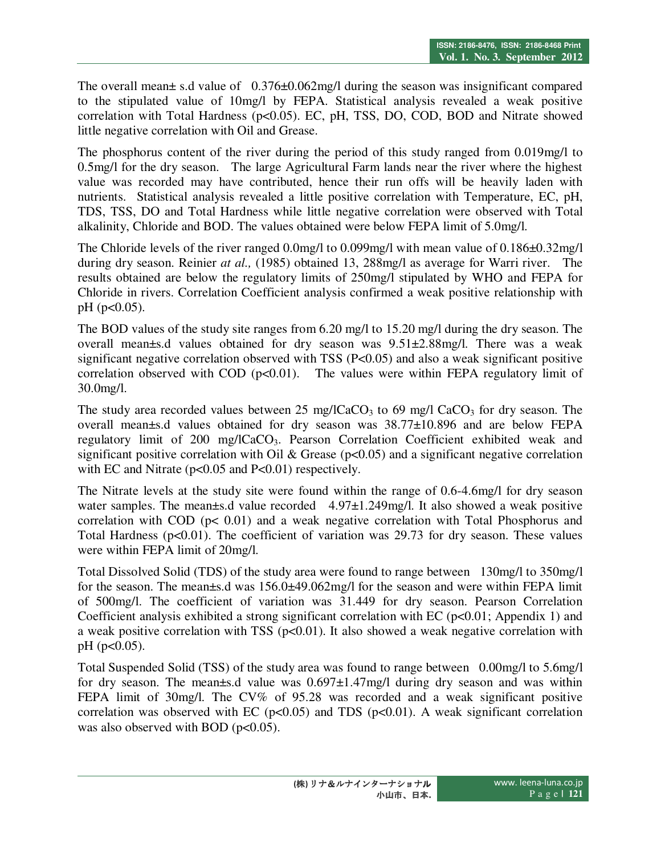The overall mean $\pm$  s.d value of 0.376 $\pm$ 0.062mg/l during the season was insignificant compared to the stipulated value of 10mg/l by FEPA. Statistical analysis revealed a weak positive correlation with Total Hardness (p<0.05). EC, pH, TSS, DO, COD, BOD and Nitrate showed little negative correlation with Oil and Grease.

The phosphorus content of the river during the period of this study ranged from 0.019mg/l to 0.5mg/l for the dry season. The large Agricultural Farm lands near the river where the highest value was recorded may have contributed, hence their run offs will be heavily laden with nutrients. Statistical analysis revealed a little positive correlation with Temperature, EC, pH, TDS, TSS, DO and Total Hardness while little negative correlation were observed with Total alkalinity, Chloride and BOD. The values obtained were below FEPA limit of 5.0mg/l.

The Chloride levels of the river ranged 0.0mg/l to 0.099mg/l with mean value of 0.186±0.32mg/l during dry season. Reinier *at al.,* (1985) obtained 13, 288mg/l as average for Warri river. The results obtained are below the regulatory limits of 250mg/l stipulated by WHO and FEPA for Chloride in rivers. Correlation Coefficient analysis confirmed a weak positive relationship with pH (p<0.05).

The BOD values of the study site ranges from 6.20 mg/l to 15.20 mg/l during the dry season. The overall mean±s.d values obtained for dry season was 9.51±2.88mg/l. There was a weak significant negative correlation observed with TSS (P<0.05) and also a weak significant positive correlation observed with COD  $(p<0.01)$ . The values were within FEPA regulatory limit of 30.0mg/l.

The study area recorded values between 25 mg/lCaCO<sub>3</sub> to 69 mg/l CaCO<sub>3</sub> for dry season. The overall mean±s.d values obtained for dry season was 38.77±10.896 and are below FEPA regulatory limit of 200 mg/lCaCO<sub>3</sub>. Pearson Correlation Coefficient exhibited weak and significant positive correlation with Oil & Grease ( $p<0.05$ ) and a significant negative correlation with EC and Nitrate ( $p<0.05$  and  $P<0.01$ ) respectively.

The Nitrate levels at the study site were found within the range of 0.6-4.6mg/l for dry season water samples. The mean±s.d value recorded 4.97±1.249mg/l. It also showed a weak positive correlation with COD ( $p$ < 0.01) and a weak negative correlation with Total Phosphorus and Total Hardness ( $p<0.01$ ). The coefficient of variation was 29.73 for dry season. These values were within FEPA limit of 20mg/l.

Total Dissolved Solid (TDS) of the study area were found to range between 130mg/l to 350mg/l for the season. The mean±s.d was 156.0±49.062mg/l for the season and were within FEPA limit of 500mg/l. The coefficient of variation was 31.449 for dry season. Pearson Correlation Coefficient analysis exhibited a strong significant correlation with EC ( $p<0.01$ ; Appendix 1) and a weak positive correlation with TSS ( $p<0.01$ ). It also showed a weak negative correlation with  $pH$  ( $p<0.05$ ).

Total Suspended Solid (TSS) of the study area was found to range between 0.00mg/l to 5.6mg/l for dry season. The mean $\pm$ s.d value was  $0.697\pm1.47$ mg/l during dry season and was within FEPA limit of 30mg/l. The CV% of 95.28 was recorded and a weak significant positive correlation was observed with EC ( $p<0.05$ ) and TDS ( $p<0.01$ ). A weak significant correlation was also observed with BOD ( $p<0.05$ ).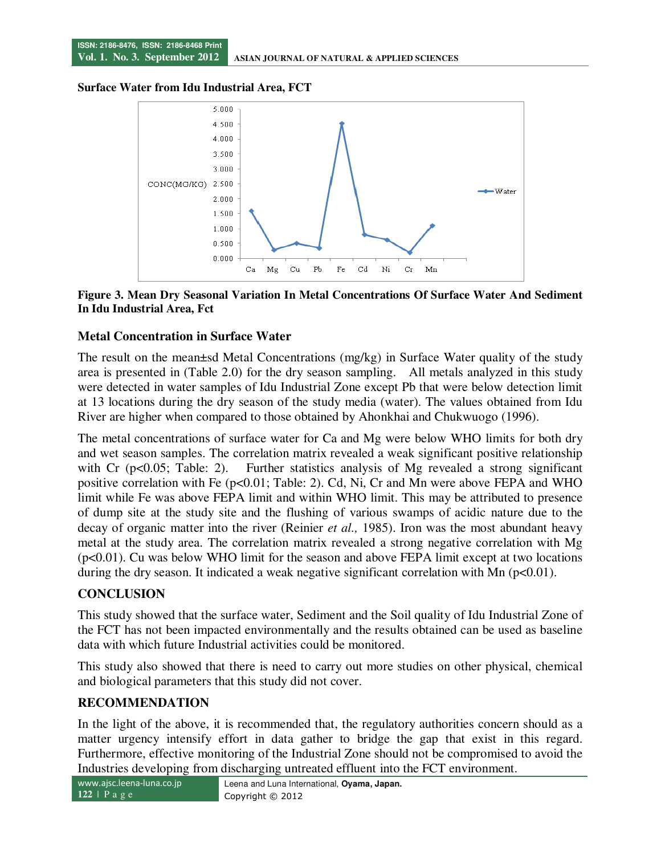**Surface Water from Idu Industrial Area, FCT** 



#### **Figure 3. Mean Dry Seasonal Variation In Metal Concentrations Of Surface Water And Sediment In Idu Industrial Area, Fct**

#### **Metal Concentration in Surface Water**

The result on the mean±sd Metal Concentrations (mg/kg) in Surface Water quality of the study area is presented in (Table 2.0) for the dry season sampling. All metals analyzed in this study were detected in water samples of Idu Industrial Zone except Pb that were below detection limit at 13 locations during the dry season of the study media (water). The values obtained from Idu River are higher when compared to those obtained by Ahonkhai and Chukwuogo (1996).

The metal concentrations of surface water for Ca and Mg were below WHO limits for both dry and wet season samples. The correlation matrix revealed a weak significant positive relationship with Cr (p<0.05; Table: 2). Further statistics analysis of Mg revealed a strong significant positive correlation with Fe (p<0.01; Table: 2). Cd, Ni, Cr and Mn were above FEPA and WHO limit while Fe was above FEPA limit and within WHO limit. This may be attributed to presence of dump site at the study site and the flushing of various swamps of acidic nature due to the decay of organic matter into the river (Reinier *et al.,* 1985). Iron was the most abundant heavy metal at the study area. The correlation matrix revealed a strong negative correlation with Mg  $(p<0.01)$ . Cu was below WHO limit for the season and above FEPA limit except at two locations during the dry season. It indicated a weak negative significant correlation with Mn ( $p<0.01$ ).

## **CONCLUSION**

This study showed that the surface water, Sediment and the Soil quality of Idu Industrial Zone of the FCT has not been impacted environmentally and the results obtained can be used as baseline data with which future Industrial activities could be monitored.

This study also showed that there is need to carry out more studies on other physical, chemical and biological parameters that this study did not cover.

#### **RECOMMENDATION**

In the light of the above, it is recommended that, the regulatory authorities concern should as a matter urgency intensify effort in data gather to bridge the gap that exist in this regard. Furthermore, effective monitoring of the Industrial Zone should not be compromised to avoid the Industries developing from discharging untreated effluent into the FCT environment.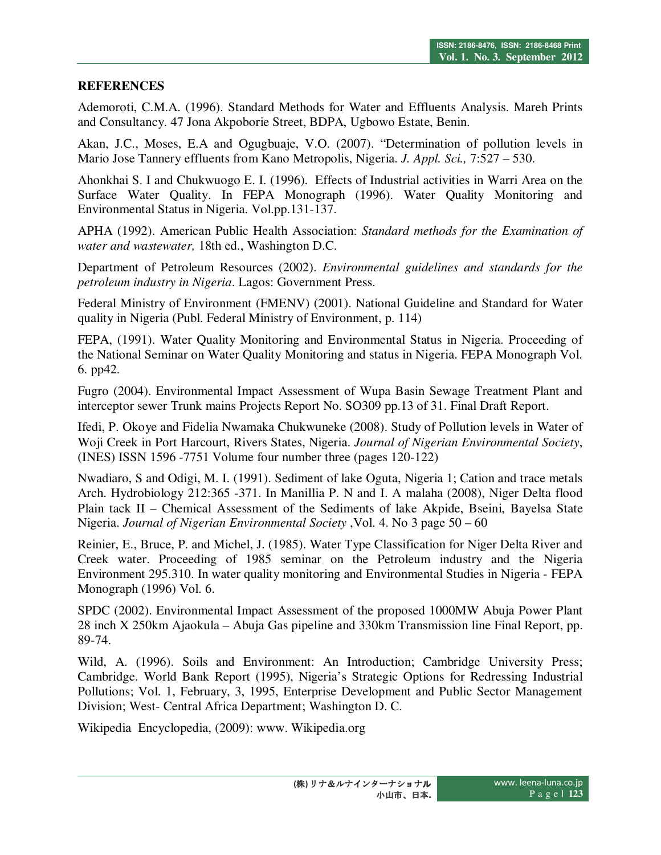#### **REFERENCES**

Ademoroti, C.M.A. (1996). Standard Methods for Water and Effluents Analysis. Mareh Prints and Consultancy. 47 Jona Akpoborie Street, BDPA, Ugbowo Estate, Benin.

Akan, J.C., Moses, E.A and Ogugbuaje, V.O. (2007). "Determination of pollution levels in Mario Jose Tannery effluents from Kano Metropolis, Nigeria. *J. Appl. Sci.,* 7:527 – 530.

Ahonkhai S. I and Chukwuogo E. I. (1996). Effects of Industrial activities in Warri Area on the Surface Water Quality. In FEPA Monograph (1996). Water Quality Monitoring and Environmental Status in Nigeria. Vol.pp.131-137.

APHA (1992). American Public Health Association: *Standard methods for the Examination of water and wastewater,* 18th ed., Washington D.C.

Department of Petroleum Resources (2002). *Environmental guidelines and standards for the petroleum industry in Nigeria*. Lagos: Government Press.

Federal Ministry of Environment (FMENV) (2001). National Guideline and Standard for Water quality in Nigeria (Publ. Federal Ministry of Environment, p. 114)

FEPA, (1991). Water Quality Monitoring and Environmental Status in Nigeria. Proceeding of the National Seminar on Water Quality Monitoring and status in Nigeria. FEPA Monograph Vol. 6. pp42.

Fugro (2004). Environmental Impact Assessment of Wupa Basin Sewage Treatment Plant and interceptor sewer Trunk mains Projects Report No. SO309 pp.13 of 31. Final Draft Report.

Ifedi, P. Okoye and Fidelia Nwamaka Chukwuneke (2008). Study of Pollution levels in Water of Woji Creek in Port Harcourt, Rivers States, Nigeria. *Journal of Nigerian Environmental Society*, (INES) ISSN 1596 -7751 Volume four number three (pages 120-122)

Nwadiaro, S and Odigi, M. I. (1991). Sediment of lake Oguta, Nigeria 1; Cation and trace metals Arch. Hydrobiology 212:365 -371. In Manillia P. N and I. A malaha (2008), Niger Delta flood Plain tack II – Chemical Assessment of the Sediments of lake Akpide, Bseini, Bayelsa State Nigeria. *Journal of Nigerian Environmental Society* ,Vol. 4. No 3 page 50 – 60

Reinier, E., Bruce, P. and Michel, J. (1985). Water Type Classification for Niger Delta River and Creek water. Proceeding of 1985 seminar on the Petroleum industry and the Nigeria Environment 295.310. In water quality monitoring and Environmental Studies in Nigeria - FEPA Monograph (1996) Vol. 6.

SPDC (2002). Environmental Impact Assessment of the proposed 1000MW Abuja Power Plant 28 inch X 250km Ajaokula – Abuja Gas pipeline and 330km Transmission line Final Report, pp. 89-74.

Wild, A. (1996). Soils and Environment: An Introduction; Cambridge University Press; Cambridge. World Bank Report (1995), Nigeria's Strategic Options for Redressing Industrial Pollutions; Vol. 1, February, 3, 1995, Enterprise Development and Public Sector Management Division; West- Central Africa Department; Washington D. C.

Wikipedia Encyclopedia, (2009): www. Wikipedia.org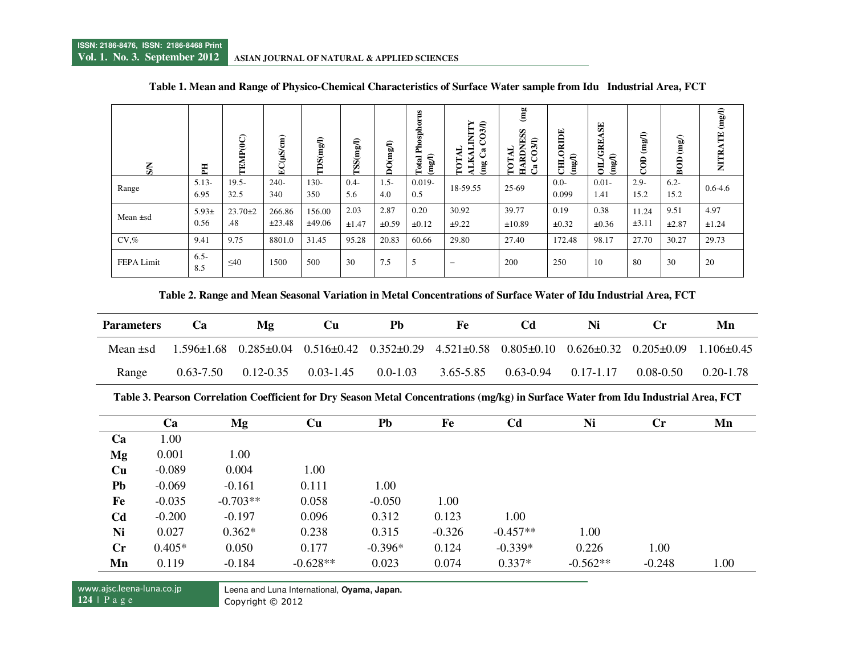| $S_N$      | EH                 | FEMP <sub>(0</sub> C) | EC(µS/cm)        | TDS(mgI)         | ISS(mg/l)      | DO(mgI)            | Phosphorus<br>$(\mathrm{mg/l})$<br>Total | INITY<br>030<br><b>a</b><br><b>FOT</b><br>Ě<br>(mg | (mg)<br>RDNESS<br>3A)<br>₹<br>TOT.<br>$H\Lambda$<br>æ | ORIDE<br>(mg <sub>1</sub> )<br>병 | $\mathbf{E}$<br>/GRE<br>(mgI)<br>$\overline{5}$ | $\epsilon$<br>Ë<br>$\mathbf{a}$ | $\mathbf{m}\mathbf{g}$<br>BOD | NITRATE (mg/l) |
|------------|--------------------|-----------------------|------------------|------------------|----------------|--------------------|------------------------------------------|----------------------------------------------------|-------------------------------------------------------|----------------------------------|-------------------------------------------------|---------------------------------|-------------------------------|----------------|
| Range      | $5.13-$<br>6.95    | $19.5 -$<br>32.5      | $240-$<br>340    | $130-$<br>350    | $0.4 -$<br>5.6 | $1.5-$<br>4.0      | $0.019 -$<br>0.5                         | 18-59.55                                           | 25-69                                                 | $0.0 -$<br>0.099                 | $0.01 -$<br>1.41                                | $2.9 -$<br>15.2                 | $6.2 -$<br>15.2               | $0.6 - 4.6$    |
| Mean ±sd   | $5.93 \pm$<br>0.56 | $23.70 \pm 2$<br>.48  | 266.86<br>±23.48 | 156.00<br>±49.06 | 2.03<br>±1.47  | 2.87<br>$\pm 0.59$ | 0.20<br>$\pm 0.12$                       | 30.92<br>±9.22                                     | 39.77<br>$\pm 10.89$                                  | 0.19<br>$\pm 0.32$               | 0.38<br>$\pm 0.36$                              | 11.24<br>±3.11                  | 9.51<br>$\pm 2.87$            | 4.97<br>±1.24  |
| $CV\%$     | 9.41               | 9.75                  | 8801.0           | 31.45            | 95.28          | 20.83              | 60.66                                    | 29.80                                              | 27.40                                                 | 172.48                           | 98.17                                           | 27.70                           | 30.27                         | 29.73          |
| FEPA Limit | $6.5 -$<br>8.5     | $\leq 40$             | 1500             | 500              | 30             | 7.5                | 5                                        | $\overline{\phantom{m}}$                           | 200                                                   | 250                              | 10                                              | 80                              | 30                            | 20             |

#### **Table 1. Mean and Range of Physico-Chemical Characteristics of Surface Water sample from Idu Industrial Area, FCT**

**Table 2. Range and Mean Seasonal Variation in Metal Concentrations of Surface Water of Idu Industrial Area, FCT** 

| <b>Parameters</b> | Mg<br>Ca      |               | Pb<br>Cп      |              | Fe                                                                                                                      |                             | Ni |               | Mn             |  |
|-------------------|---------------|---------------|---------------|--------------|-------------------------------------------------------------------------------------------------------------------------|-----------------------------|----|---------------|----------------|--|
| Mean +sd          |               |               |               |              | $1.596\pm1.68$ $0.285\pm0.04$ $0.516\pm0.42$ $0.352\pm0.29$ $4.521\pm0.58$ $0.805\pm0.10$ $0.626\pm0.32$ $0.205\pm0.09$ |                             |    |               | $1.106 + 0.45$ |  |
| Range             | $0.63 - 7.50$ | $0.12 - 0.35$ | $0.03 - 1.45$ | $0.0 - 1.03$ | 3.65-5.85                                                                                                               | $0.63 - 0.94$ $0.17 - 1.17$ |    | $0.08 - 0.50$ | 0.20-1.78      |  |

**Table 3. Pearson Correlation Coefficient for Dry Season Metal Concentrations (mg/kg) in Surface Water from Idu Industrial Area, FCT** 

|                | Ca       | Mg         | Cu         | Pb        | Fe       | Cd         | Ni         | $\mathbf{C}\mathbf{r}$ | Mn   |
|----------------|----------|------------|------------|-----------|----------|------------|------------|------------------------|------|
| Ca             | 1.00     |            |            |           |          |            |            |                        |      |
| Mg             | 0.001    | 1.00       |            |           |          |            |            |                        |      |
| Cu             | $-0.089$ | 0.004      | 1.00       |           |          |            |            |                        |      |
| Pb             | $-0.069$ | $-0.161$   | 0.111      | 1.00      |          |            |            |                        |      |
| Fe             | $-0.035$ | $-0.703**$ | 0.058      | $-0.050$  | 1.00     |            |            |                        |      |
| C <sub>d</sub> | $-0.200$ | $-0.197$   | 0.096      | 0.312     | 0.123    | 1.00       |            |                        |      |
| Ni             | 0.027    | $0.362*$   | 0.238      | 0.315     | $-0.326$ | $-0.457**$ | 1.00       |                        |      |
| Cr             | $0.405*$ | 0.050      | 0.177      | $-0.396*$ | 0.124    | $-0.339*$  | 0.226      | 1.00                   |      |
| Mn             | 0.119    | $-0.184$   | $-0.628**$ | 0.023     | 0.074    | $0.337*$   | $-0.562**$ | $-0.248$               | 1.00 |

Leena and Luna International, **Oyama, Japan.** 

Copyright © 2012